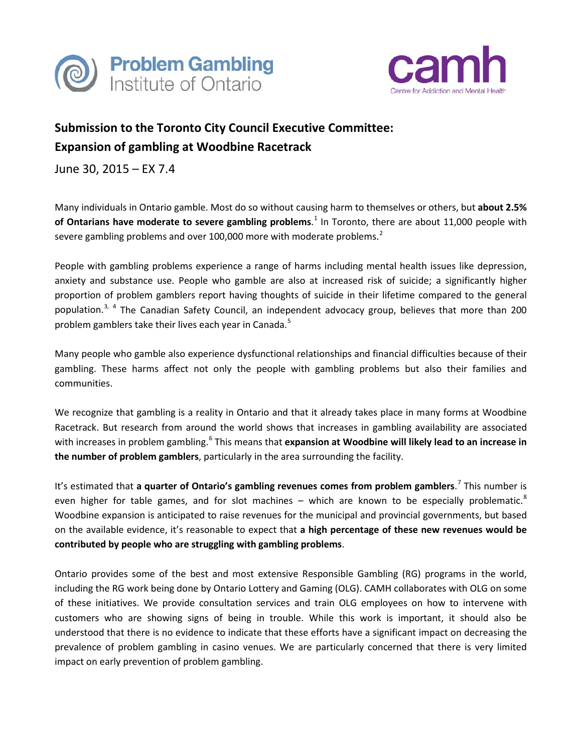



## **Submission to the Toronto City Council Executive Committee: Expansion of gambling at Woodbine Racetrack**

June 30, 2015 – EX 7.4

Many individuals in Ontario gamble. Most do so without causing harm to themselves or others, but **about 2.5% of Ontarians have moderate to severe gambling problems**. [1](#page-1-0) In Toronto, there are about 11,000 people with severe gambling problems and over 100,000 more with moderate problems.<sup>[2](#page-1-1)</sup>

People with gambling problems experience a range of harms including mental health issues like depression, anxiety and substance use. People who gamble are also at increased risk of suicide; a significantly higher proportion of problem gamblers report having thoughts of suicide in their lifetime compared to the general population.<sup>[3](#page-1-2), [4](#page-1-3)</sup> The Canadian Safety Council, an independent advocacy group, believes that more than 200 problem gamblers take their lives each year in Canada.<sup>[5](#page-1-4)</sup>

Many people who gamble also experience dysfunctional relationships and financial difficulties because of their gambling. These harms affect not only the people with gambling problems but also their families and communities.

We recognize that gambling is a reality in Ontario and that it already takes place in many forms at Woodbine Racetrack. But research from around the world shows that increases in gambling availability are associated with increases in problem gambling.<sup>[6](#page-1-5)</sup> This means that **expansion at Woodbine will likely lead to an increase in the number of problem gamblers**, particularly in the area surrounding the facility.

It's estimated that **a quarter of Ontario's gambling revenues comes from problem gamblers**. [7](#page-1-6) This number is even higher for table games, and for slot machines  $-$  which are known to be especially problematic.<sup>[8](#page-1-7)</sup> Woodbine expansion is anticipated to raise revenues for the municipal and provincial governments, but based on the available evidence, it's reasonable to expect that **a high percentage of these new revenues would be contributed by people who are struggling with gambling problems**.

Ontario provides some of the best and most extensive Responsible Gambling (RG) programs in the world, including the RG work being done by Ontario Lottery and Gaming (OLG). CAMH collaborates with OLG on some of these initiatives. We provide consultation services and train OLG employees on how to intervene with customers who are showing signs of being in trouble. While this work is important, it should also be understood that there is no evidence to indicate that these efforts have a significant impact on decreasing the prevalence of problem gambling in casino venues. We are particularly concerned that there is very limited impact on early prevention of problem gambling.